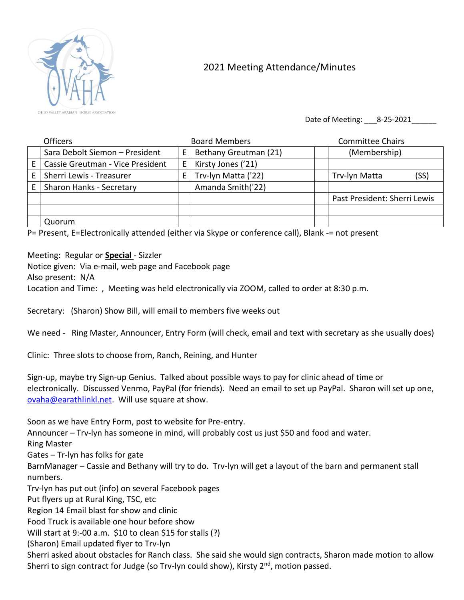

## 2021 Meeting Attendance/Minutes

Date of Meeting: 8-25-2021

|   | <b>Officers</b>                  |    | <b>Board Members</b>  | <b>Committee Chairs</b>      |
|---|----------------------------------|----|-----------------------|------------------------------|
|   | Sara Debolt Siemon - President   | Е  | Bethany Greutman (21) | (Membership)                 |
| E | Cassie Greutman - Vice President | Е  | Kirsty Jones ('21)    |                              |
|   | Sherri Lewis - Treasurer         | E. | Trv-lyn Matta ('22)   | (SS)<br>Trv-lyn Matta        |
|   | Sharon Hanks - Secretary         |    | Amanda Smith('22)     |                              |
|   |                                  |    |                       | Past President: Sherri Lewis |
|   |                                  |    |                       |                              |
|   | Quorum                           |    |                       |                              |

P= Present, E=Electronically attended (either via Skype or conference call), Blank -= not present

Meeting: Regular or **Special** - Sizzler

Notice given: Via e-mail, web page and Facebook page Also present: N/A

Location and Time: , Meeting was held electronically via ZOOM, called to order at 8:30 p.m.

Secretary: (Sharon) Show Bill, will email to members five weeks out

We need - Ring Master, Announcer, Entry Form (will check, email and text with secretary as she usually does)

Clinic: Three slots to choose from, Ranch, Reining, and Hunter

Sign-up, maybe try Sign-up Genius. Talked about possible ways to pay for clinic ahead of time or electronically. Discussed Venmo, PayPal (for friends). Need an email to set up PayPal. Sharon will set up one, [ovaha@earathlinkl.net.](mailto:ovaha@earathlinkl.net) Will use square at show.

Soon as we have Entry Form, post to website for Pre-entry.

Announcer – Trv-lyn has someone in mind, will probably cost us just \$50 and food and water.

Ring Master

Gates – Tr-lyn has folks for gate

BarnManager – Cassie and Bethany will try to do. Trv-lyn will get a layout of the barn and permanent stall numbers.

Trv-lyn has put out (info) on several Facebook pages

Put flyers up at Rural King, TSC, etc

Region 14 Email blast for show and clinic

Food Truck is available one hour before show

Will start at 9:-00 a.m. \$10 to clean \$15 for stalls (?)

(Sharon) Email updated flyer to Trv-lyn

Sherri asked about obstacles for Ranch class. She said she would sign contracts, Sharon made motion to allow Sherri to sign contract for Judge (so Trv-lyn could show), Kirsty  $2<sup>nd</sup>$ , motion passed.